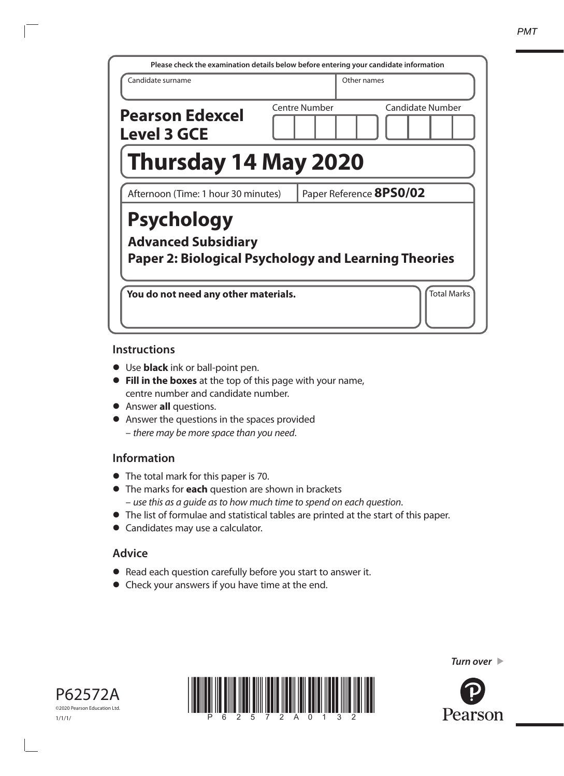| Please check the examination details below before entering your candidate information                          |  |                         |             |                  |  |  |  |  |
|----------------------------------------------------------------------------------------------------------------|--|-------------------------|-------------|------------------|--|--|--|--|
| Candidate surname                                                                                              |  |                         | Other names |                  |  |  |  |  |
| <b>Pearson Edexcel</b><br><b>Level 3 GCE</b>                                                                   |  | Centre Number           |             | Candidate Number |  |  |  |  |
| Thursday 14 May 2020                                                                                           |  |                         |             |                  |  |  |  |  |
| Afternoon (Time: 1 hour 30 minutes)                                                                            |  | Paper Reference 8PS0/02 |             |                  |  |  |  |  |
| <b>Psychology</b><br><b>Advanced Subsidiary</b><br><b>Paper 2: Biological Psychology and Learning Theories</b> |  |                         |             |                  |  |  |  |  |
| <b>Total Marks</b><br>You do not need any other materials.                                                     |  |                         |             |                  |  |  |  |  |

### **Instructions**

- **•** Use **black** ink or ball-point pen.
- **• Fill in the boxes** at the top of this page with your name, centre number and candidate number.
- **•** Answer **all** questions.
- **•** Answer the questions in the spaces provided – *there may be more space than you need*.

## **Information**

- **•** The total mark for this paper is 70.
- **•** The marks for **each** question are shown in brackets – *use this as a guide as to how much time to spend on each question*.
- **•** The list of formulae and statistical tables are printed at the start of this paper.
- **•** Candidates may use a calculator.

## **Advice**

- **•** Read each question carefully before you start to answer it.
- **•** Check your answers if you have time at the end.





*Turn over* 

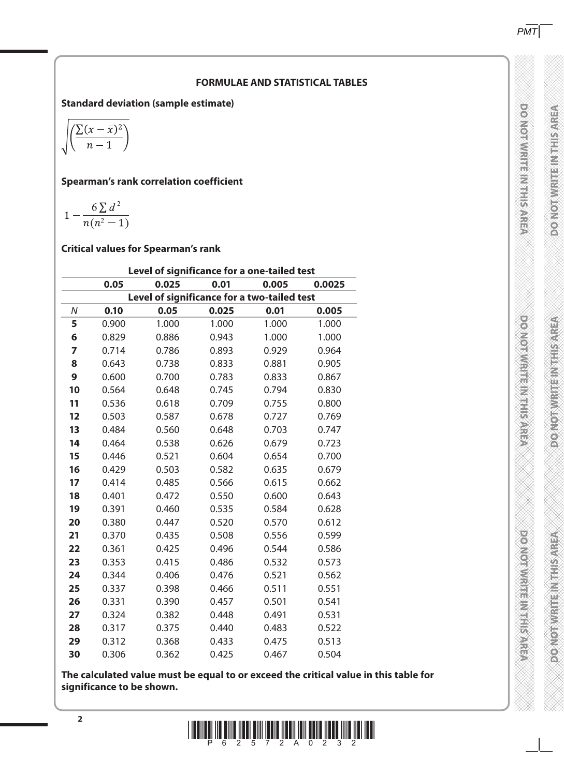poworwaniani wanishane

**DOOMOTIVE MEERS ERECTED** 

### **FORMULAE AND STATISTICAL TABLES**

# **Standard deviation (sample estimate)**

$$
\sqrt{\left(\frac{\sum (x-\bar{x})^2}{n-1}\right)}
$$

**Spearman's rank correlation coefficient**

$$
1-\frac{6\sum d^2}{n(n^2-1)}
$$

### **Critical values for Spearman's rank**

|    | Level of significance for a one-tailed test |       |                                             |       |        |  |  |  |  |
|----|---------------------------------------------|-------|---------------------------------------------|-------|--------|--|--|--|--|
|    | 0.05                                        | 0.025 | 0.01                                        | 0.005 | 0.0025 |  |  |  |  |
|    |                                             |       | Level of significance for a two-tailed test |       |        |  |  |  |  |
| N  | 0.10                                        | 0.05  | 0.025                                       | 0.01  | 0.005  |  |  |  |  |
| 5  | 0.900                                       | 1.000 | 1.000                                       | 1.000 | 1.000  |  |  |  |  |
| 6  | 0.829                                       | 0.886 | 0.943                                       | 1.000 | 1.000  |  |  |  |  |
| 7  | 0.714                                       | 0.786 | 0.893                                       | 0.929 | 0.964  |  |  |  |  |
| 8  | 0.643                                       | 0.738 | 0.833                                       | 0.881 | 0.905  |  |  |  |  |
| 9  | 0.600                                       | 0.700 | 0.783                                       | 0.833 | 0.867  |  |  |  |  |
| 10 | 0.564                                       | 0.648 | 0.745                                       | 0.794 | 0.830  |  |  |  |  |
| 11 | 0.536                                       | 0.618 | 0.709                                       | 0.755 | 0.800  |  |  |  |  |
| 12 | 0.503                                       | 0.587 | 0.678                                       | 0.727 | 0.769  |  |  |  |  |
| 13 | 0.484                                       | 0.560 | 0.648                                       | 0.703 | 0.747  |  |  |  |  |
| 14 | 0.464                                       | 0.538 | 0.626                                       | 0.679 | 0.723  |  |  |  |  |
| 15 | 0.446                                       | 0.521 | 0.604                                       | 0.654 | 0.700  |  |  |  |  |
| 16 | 0.429                                       | 0.503 | 0.582                                       | 0.635 | 0.679  |  |  |  |  |
| 17 | 0.414                                       | 0.485 | 0.566                                       | 0.615 | 0.662  |  |  |  |  |
| 18 | 0.401                                       | 0.472 | 0.550                                       | 0.600 | 0.643  |  |  |  |  |
| 19 | 0.391                                       | 0.460 | 0.535                                       | 0.584 | 0.628  |  |  |  |  |
| 20 | 0.380                                       | 0.447 | 0.520                                       | 0.570 | 0.612  |  |  |  |  |
| 21 | 0.370                                       | 0.435 | 0.508                                       | 0.556 | 0.599  |  |  |  |  |
| 22 | 0.361                                       | 0.425 | 0.496                                       | 0.544 | 0.586  |  |  |  |  |
| 23 | 0.353                                       | 0.415 | 0.486                                       | 0.532 | 0.573  |  |  |  |  |
| 24 | 0.344                                       | 0.406 | 0.476                                       | 0.521 | 0.562  |  |  |  |  |
| 25 | 0.337                                       | 0.398 | 0.466                                       | 0.511 | 0.551  |  |  |  |  |
| 26 | 0.331                                       | 0.390 | 0.457                                       | 0.501 | 0.541  |  |  |  |  |
| 27 | 0.324                                       | 0.382 | 0.448                                       | 0.491 | 0.531  |  |  |  |  |
| 28 | 0.317                                       | 0.375 | 0.440                                       | 0.483 | 0.522  |  |  |  |  |
| 29 | 0.312                                       | 0.368 | 0.433                                       | 0.475 | 0.513  |  |  |  |  |
| 30 | 0.306                                       | 0.362 | 0.425                                       | 0.467 | 0.504  |  |  |  |  |

**The calculated value must be equal to or exceed the critical value in this table for significance to be shown.**

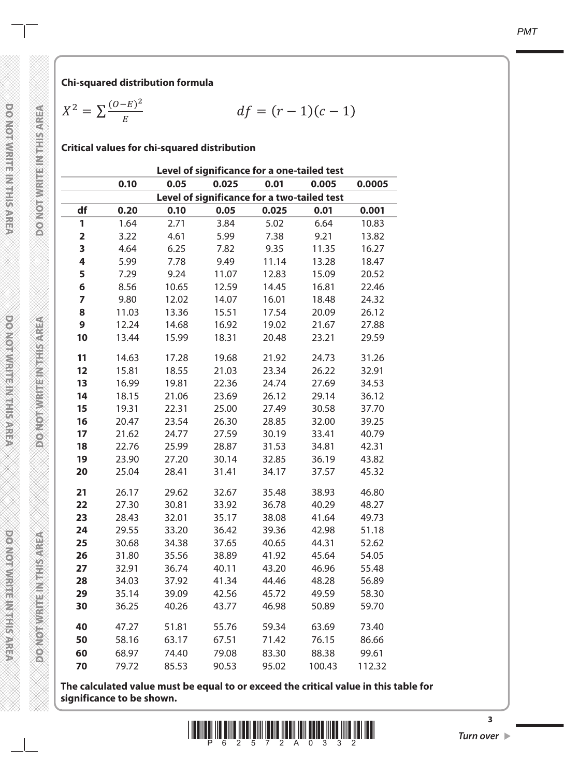## **Chi-squared distribution formula Chi-squared distribution formula**

$$
X^2 = \sum \frac{(0-E)^2}{E} \qquad df = (r-1)(c-1)
$$

#### **Critical values for chi-squared distribution Critical values for chi-squared distribution**

|                         | Level of significance for a one-tailed test |       |                                             |       |        |        |  |
|-------------------------|---------------------------------------------|-------|---------------------------------------------|-------|--------|--------|--|
|                         | 0.10                                        | 0.05  | 0.025                                       | 0.01  | 0.005  | 0.0005 |  |
|                         |                                             |       | Level of significance for a two-tailed test |       |        |        |  |
| df                      | 0.20                                        | 0.10  | 0.05                                        | 0.025 | 0.01   | 0.001  |  |
| 1                       | 1.64                                        | 2.71  | 3.84                                        | 5.02  | 6.64   | 10.83  |  |
| $\overline{\mathbf{2}}$ | 3.22                                        | 4.61  | 5.99                                        | 7.38  | 9.21   | 13.82  |  |
| 3                       | 4.64                                        | 6.25  | 7.82                                        | 9.35  | 11.35  | 16.27  |  |
| 4                       | 5.99                                        | 7.78  | 9.49                                        | 11.14 | 13.28  | 18.47  |  |
| 5                       | 7.29                                        | 9.24  | 11.07                                       | 12.83 | 15.09  | 20.52  |  |
| 6                       | 8.56                                        | 10.65 | 12.59                                       | 14.45 | 16.81  | 22.46  |  |
| 7                       | 9.80                                        | 12.02 | 14.07                                       | 16.01 | 18.48  | 24.32  |  |
| 8                       | 11.03                                       | 13.36 | 15.51                                       | 17.54 | 20.09  | 26.12  |  |
| 9                       | 12.24                                       | 14.68 | 16.92                                       | 19.02 | 21.67  | 27.88  |  |
| 10                      | 13.44                                       | 15.99 | 18.31                                       | 20.48 | 23.21  | 29.59  |  |
| 11                      | 14.63                                       | 17.28 | 19.68                                       | 21.92 | 24.73  | 31.26  |  |
| 12                      | 15.81                                       | 18.55 | 21.03                                       | 23.34 | 26.22  | 32.91  |  |
| 13                      | 16.99                                       | 19.81 | 22.36                                       | 24.74 | 27.69  | 34.53  |  |
| 14                      | 18.15                                       | 21.06 | 23.69                                       | 26.12 | 29.14  | 36.12  |  |
| 15                      | 19.31                                       | 22.31 | 25.00                                       | 27.49 | 30.58  | 37.70  |  |
| 16                      | 20.47                                       | 23.54 | 26.30                                       | 28.85 | 32.00  | 39.25  |  |
| 17                      | 21.62                                       | 24.77 | 27.59                                       | 30.19 | 33.41  | 40.79  |  |
| 18                      | 22.76                                       | 25.99 | 28.87                                       | 31.53 | 34.81  | 42.31  |  |
| 19                      | 23.90                                       | 27.20 | 30.14                                       | 32.85 | 36.19  | 43.82  |  |
| 20                      | 25.04                                       | 28.41 | 31.41                                       | 34.17 | 37.57  | 45.32  |  |
| 21                      | 26.17                                       | 29.62 | 32.67                                       | 35.48 | 38.93  | 46.80  |  |
| 22                      | 27.30                                       | 30.81 | 33.92                                       | 36.78 | 40.29  | 48.27  |  |
| 23                      | 28.43                                       | 32.01 | 35.17                                       | 38.08 | 41.64  | 49.73  |  |
| 24                      | 29.55                                       | 33.20 | 36.42                                       | 39.36 | 42.98  | 51.18  |  |
| 25                      | 30.68                                       | 34.38 | 37.65                                       | 40.65 | 44.31  | 52.62  |  |
| 26                      | 31.80                                       | 35.56 | 38.89                                       | 41.92 | 45.64  | 54.05  |  |
| 27                      | 32.91                                       | 36.74 | 40.11                                       | 43.20 | 46.96  | 55.48  |  |
| 28                      | 34.03                                       | 37.92 | 41.34                                       | 44.46 | 48.28  | 56.89  |  |
| 29                      | 35.14                                       | 39.09 | 42.56                                       | 45.72 | 49.59  | 58.30  |  |
| 30                      | 36.25                                       | 40.26 | 43.77                                       | 46.98 | 50.89  | 59.70  |  |
| 40                      | 47.27                                       | 51.81 | 55.76                                       | 59.34 | 63.69  | 73.40  |  |
| 50                      | 58.16                                       | 63.17 | 67.51                                       | 71.42 | 76.15  | 86.66  |  |
| 60                      | 68.97                                       | 74.40 | 79.08                                       | 83.30 | 88.38  | 99.61  |  |
| 70                      | 79.72                                       | 85.53 | 90.53                                       | 95.02 | 100.43 | 112.32 |  |

**The calculated value must be equal to or exceed the critical value in this table for significance to be shown.**

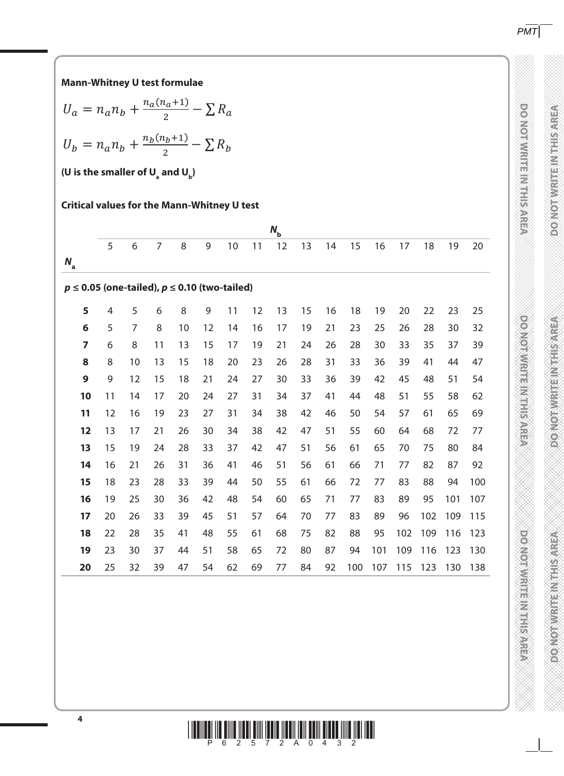DO NOTWRITE IN THIS AREA

**DOMOTWRITEIN RESPECT** 

### **Mann-Whitney U test formulae Mann-Whitney U test formulae**

$$
U_a = n_a n_b + \frac{n_a (n_a + 1)}{2} - \sum R_a
$$
  

$$
U_b = n_a n_b + \frac{n_b (n_b + 1)}{2} - \sum R_b
$$

(U is the smaller of U<sub>a</sub> and U<sub>b</sub>)

#### **Critical values for the Mann-Whitney U test Critical values for the Mann-Whitney U test**

|                                                      |    |                |                |    |    |    |    | $N_{\rm b}$ |    |    |     |     |     |     |     |     |
|------------------------------------------------------|----|----------------|----------------|----|----|----|----|-------------|----|----|-----|-----|-----|-----|-----|-----|
|                                                      | 5  | 6              | $\overline{7}$ | 8  | 9  | 10 | 11 | 12          | 13 | 14 | 15  | 16  | 17  | 18  | 19  | 20  |
| $N_{\rm a}$                                          |    |                |                |    |    |    |    |             |    |    |     |     |     |     |     |     |
| $p \le 0.05$ (one-tailed), $p \le 0.10$ (two-tailed) |    |                |                |    |    |    |    |             |    |    |     |     |     |     |     |     |
| 5                                                    | 4  | 5              | 6              | 8  | 9  | 11 | 12 | 13          | 15 | 16 | 18  | 19  | 20  | 22  | 23  | 25  |
| 6                                                    | 5  | $\overline{7}$ | 8              | 10 | 12 | 14 | 16 | 17          | 19 | 21 | 23  | 25  | 26  | 28  | 30  | 32  |
| 7                                                    | 6  | 8              | 11             | 13 | 15 | 17 | 19 | 21          | 24 | 26 | 28  | 30  | 33  | 35  | 37  | 39  |
| 8                                                    | 8  | 10             | 13             | 15 | 18 | 20 | 23 | 26          | 28 | 31 | 33  | 36  | 39  | 41  | 44  | 47  |
| $\boldsymbol{9}$                                     | 9  | 12             | 15             | 18 | 21 | 24 | 27 | 30          | 33 | 36 | 39  | 42  | 45  | 48  | 51  | 54  |
| 10                                                   | 11 | 14             | 17             | 20 | 24 | 27 | 31 | 34          | 37 | 41 | 44  | 48  | 51  | 55  | 58  | 62  |
| 11                                                   | 12 | 16             | 19             | 23 | 27 | 31 | 34 | 38          | 42 | 46 | 50  | 54  | 57  | 61  | 65  | 69  |
| 12                                                   | 13 | 17             | 21             | 26 | 30 | 34 | 38 | 42          | 47 | 51 | 55  | 60  | 64  | 68  | 72  | 77  |
| 13                                                   | 15 | 19             | 24             | 28 | 33 | 37 | 42 | 47          | 51 | 56 | 61  | 65  | 70  | 75  | 80  | 84  |
| 14                                                   | 16 | 21             | 26             | 31 | 36 | 41 | 46 | 51          | 56 | 61 | 66  | 71  | 77  | 82  | 87  | 92  |
| 15                                                   | 18 | 23             | 28             | 33 | 39 | 44 | 50 | 55          | 61 | 66 | 72  | 77  | 83  | 88  | 94  | 100 |
| 16                                                   | 19 | 25             | 30             | 36 | 42 | 48 | 54 | 60          | 65 | 71 | 77  | 83  | 89  | 95  | 101 | 107 |
| 17                                                   | 20 | 26             | 33             | 39 | 45 | 51 | 57 | 64          | 70 | 77 | 83  | 89  | 96  | 102 | 109 | 115 |
| 18                                                   | 22 | 28             | 35             | 41 | 48 | 55 | 61 | 68          | 75 | 82 | 88  | 95  | 102 | 109 | 116 | 123 |
| 19                                                   | 23 | 30             | 37             | 44 | 51 | 58 | 65 | 72          | 80 | 87 | 94  | 101 | 109 | 116 | 123 | 130 |
| 20                                                   | 25 | 32             | 39             | 47 | 54 | 62 | 69 | 77          | 84 | 92 | 100 | 107 | 115 | 123 | 130 | 138 |

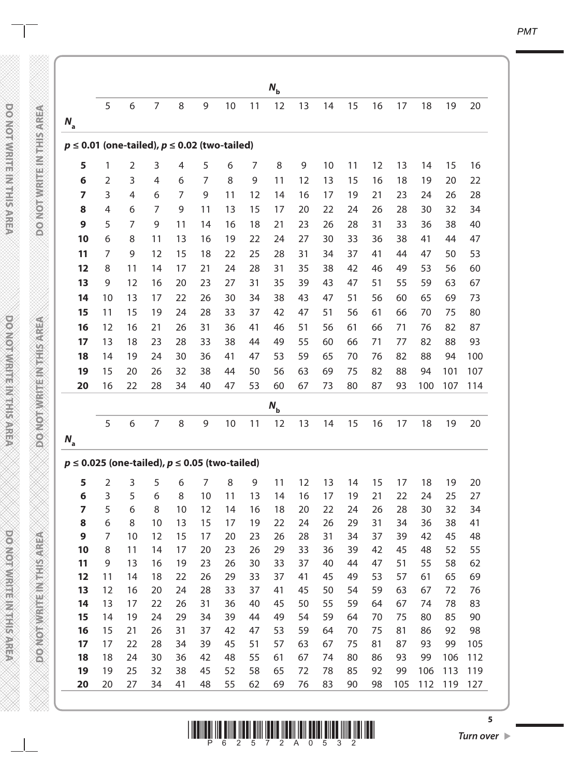| Ę           |  |
|-------------|--|
|             |  |
| ì,          |  |
|             |  |
|             |  |
|             |  |
|             |  |
|             |  |
|             |  |
|             |  |
| ì           |  |
|             |  |
|             |  |
|             |  |
|             |  |
|             |  |
|             |  |
|             |  |
|             |  |
|             |  |
|             |  |
| i<br>Milita |  |
|             |  |
|             |  |
|             |  |
|             |  |
|             |  |
|             |  |
|             |  |
|             |  |
|             |  |
|             |  |
|             |  |
|             |  |
| Į           |  |
|             |  |
|             |  |
|             |  |
|             |  |
|             |  |
|             |  |
| ¥           |  |
|             |  |
|             |  |
|             |  |
|             |  |
|             |  |
|             |  |
|             |  |
|             |  |
|             |  |
|             |  |
|             |  |
| ì           |  |
|             |  |
|             |  |
|             |  |
|             |  |
|             |  |
|             |  |
|             |  |
|             |  |
|             |  |
|             |  |
|             |  |
|             |  |
|             |  |
|             |  |
|             |  |
|             |  |

**DONOT WRITEIN THIS AREA** 

|                                                                                   |          |                |                |          |                |          |          | $N_{\rm b}$ |          |          |          |          |          |          |            |            |
|-----------------------------------------------------------------------------------|----------|----------------|----------------|----------|----------------|----------|----------|-------------|----------|----------|----------|----------|----------|----------|------------|------------|
|                                                                                   | 5        | 6              | $\overline{7}$ | 8        | 9              | 10       | 11       | 12          | 13       | 14       | 15       | 16       | 17       | 18       | 19         | 20         |
| $N_{\rm a}$                                                                       |          |                |                |          |                |          |          |             |          |          |          |          |          |          |            |            |
| $p \le 0.01$ (one-tailed), $p \le 0.02$ (two-tailed)                              |          |                |                |          |                |          |          |             |          |          |          |          |          |          |            |            |
| 5                                                                                 | 1        | 2              | 3              | 4        | 5              | 6        | 7        | 8           | 9        | 10       | 11       | 12       | 13       | 14       | 15         | 16         |
| 6                                                                                 | 2        | 3              | 4              | 6        | 7              | 8        | 9        | 11          | 12       | 13       | 15       | 16       | 18       | 19       | 20         | 22         |
| 7                                                                                 | 3        | 4              | 6              | 7        | 9              | 11       | 12       | 14          | 16       | 17       | 19       | 21       | 23       | 24       | 26         | 28         |
| 8                                                                                 | 4        | 6              | $\overline{7}$ | 9        | 11             | 13       | 15       | 17          | 20       | 22       | 24       | 26       | 28       | 30       | 32         | 34         |
| 9                                                                                 | 5        | $\overline{7}$ | 9              | 11       | 14             | 16       | 18       | 21          | 23       | 26       | 28       | 31       | 33       | 36       | 38         | 40         |
| 10                                                                                | 6        | 8              | 11             | 13       | 16             | 19       | 22       | 24          | 27       | 30       | 33       | 36       | 38       | 41       | 44         | 47         |
| 11                                                                                | 7        | 9              | 12             | 15       | 18             | 22       | 25       | 28          | 31       | 34       | 37       | 41       | 44       | 47       | 50         | 53         |
| 12                                                                                | 8        | 11             | 14             | 17       | 21             | 24       | 28       | 31          | 35       | 38       | 42       | 46       | 49       | 53       | 56         | 60         |
| 13                                                                                | 9        | 12             | 16             | 20       | 23             | 27       | 31       | 35          | 39       | 43       | 47       | 51       | 55       | 59       | 63         | 67         |
| 14                                                                                | 10       | 13             | 17             | 22       | 26             | 30       | 34       | 38          | 43       | 47       | 51       | 56       | 60       | 65       | 69         | 73         |
| 15                                                                                | 11       | 15             | 19             | 24       | 28             | 33       | 37       | 42          | 47       | 51       | 56       | 61       | 66       | 70       | 75         | 80         |
| 16                                                                                | 12       | 16             | 21             | 26       | 31             | 36       | 41       | 46          | 51       | 56       | 61       | 66       | 71       | 76       | 82         | 87         |
| 17                                                                                | 13       | 18             | 23             | 28       | 33             | 38       | 44       | 49          | 55       | 60       | 66       | 71       | 77       | 82       | 88         | 93         |
| 18                                                                                | 14       | 19             |                | 30       | 36             | 41       | 47       | 53          | 59       |          | 70       | 76       | 82       | 88       | 94         | 100        |
|                                                                                   |          |                | 24             | 32       | 38             |          |          |             |          | 65       | 75       |          | 88       | 94       |            |            |
| 19<br>20                                                                          | 15<br>16 | 20<br>22       | 26<br>28       | 34       | 40             | 44<br>47 | 50<br>53 | 56<br>60    | 63<br>67 | 69<br>73 | 80       | 82<br>87 | 93       | 100      | 101<br>107 | 107<br>114 |
|                                                                                   |          |                |                |          |                |          |          |             |          |          |          |          |          |          |            |            |
|                                                                                   |          |                |                |          |                |          |          | $N_{\rm b}$ |          |          |          |          |          |          |            |            |
|                                                                                   | 5        | 6              | $\overline{7}$ | 8        | 9              | 10       | 11       | 12          | 13       | 14       | 15       | 16       | 17       | 18       | 19         | 20         |
| $N_{\rm a}$                                                                       |          |                |                |          |                |          |          |             |          |          |          |          |          |          |            |            |
| $\boldsymbol{p} \leq 0.025$ (one-tailed), $\boldsymbol{p} \leq 0.05$ (two-tailed) |          |                |                |          |                |          |          |             |          |          |          |          |          |          |            |            |
| 5                                                                                 | 2        | 3              | 5              | 6        | $\overline{7}$ | 8        | 9        | 11          | 12       | 13       | 14       | 15       | 17       | 18       | 19         | 20         |
| 6                                                                                 | 3        | 5              | 6              | 8        | 10             | 11       | 13       | 14          | 16       | 17       | 19       | 21       | 22       | 24       | 25         | 27         |
| 7                                                                                 | 5        | 6              | 8              | 10       | 12             | 14       | 16       | 18          | 20       | 22       | 24       | 26       | 28       | 30       | 32         | 34         |
| 8                                                                                 | 6        | 8              | 10             | 13       | 15             | 17       | 19       | 22          | 24       | 26       | 29       | 31       | 34       | 36       | 38         | 41         |
| 9                                                                                 | 7        | 10             | 12             | 15       | 17             | 20       | 23       | 26          | 28       | 31       | 34       | 37       | 39       | 42       | 45         | 48         |
| 10                                                                                | 8        | 11             | 14             | 17       | 20             | 23       | 26       | 29          | 33       | 36       | 39       | 42       | 45       | 48       | 52         | 55         |
| 11                                                                                | 9        | 13             | 16             | 19       | 23             | 26       | 30       | 33          | 37       | 40       | 44       | 47       | 51       | 55       | 58         | 62         |
| 12                                                                                | 11<br>12 | 14             | 18             | 22       | 26<br>28       | 29<br>33 | 33<br>37 | 37          | 41       | 45       | 49       | 53       | 57<br>63 | 61       | 65         | 69         |
| 13<br>14                                                                          | 13       | 16<br>17       | 20<br>22       | 24<br>26 | 31             | 36       | 40       | 41<br>45    | 45<br>50 | 50<br>55 | 54<br>59 | 59<br>64 | 67       | 67<br>74 | 72<br>78   | 76<br>83   |
| 15                                                                                | 14       | 19             | 24             | 29       | 34             | 39       | 44       | 49          | 54       | 59       | 64       | 70       | 75       | 80       | 85         | 90         |
| 16                                                                                | 15       | 21             | 26             | 31       | 37             | 42       | 47       | 53          | 59       | 64       | 70       | 75       | 81       | 86       | 92         | 98         |
| 17                                                                                | 17       | 22             | 28             | 34       | 39             | 45       | 51       | 57          | 63       | 67       | 75       | 81       | 87       | 93       | 99         | 105        |
| 18                                                                                | 18       | 24             | 30             | 36       | 42             | 48       | 55       | 61          | 67       | 74       | 80       | 86       | 93       | 99       | 106        | 112        |
| 19                                                                                | 19       | 25             | 32             | 38       | 45             | 52       | 58       | 65          | 72       | 78       | 85       | 92       | 99       | 106      | 113        | 119        |
| 20                                                                                | 20       | 27             | 34             | 41       | 48             | 55       | 62       | 69          | 76       | 83       | 90       | 98       | 105      | 112      | 119        | 127        |
|                                                                                   |          |                |                |          |                |          |          |             |          |          |          |          |          |          |            |            |

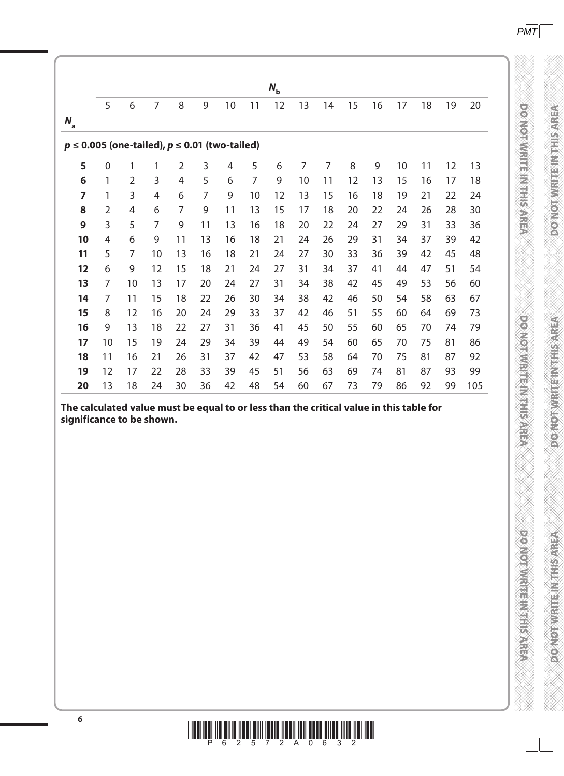DO NOTWRITE IN THIS AREA

**DOOMORTHEM THIS AREA** 

**DO NOT METER INTERNETARE** 

|                                                       |                |    |                |                |                |    |    | $N_{\rm b}$ |    |    |    |    |    |    |    |     |
|-------------------------------------------------------|----------------|----|----------------|----------------|----------------|----|----|-------------|----|----|----|----|----|----|----|-----|
|                                                       | 5              | 6  | 7              | 8              | 9              | 10 | 11 | 12          | 13 | 14 | 15 | 16 | 17 | 18 | 19 | 20  |
| $N_{\rm a}$                                           |                |    |                |                |                |    |    |             |    |    |    |    |    |    |    |     |
| $p \le 0.005$ (one-tailed), $p \le 0.01$ (two-tailed) |                |    |                |                |                |    |    |             |    |    |    |    |    |    |    |     |
| 5                                                     | 0              | 1  | 1              | $\overline{2}$ | 3              | 4  | 5  | 6           | 7  | 7  | 8  | 9  | 10 | 11 | 12 | 13  |
| 6                                                     | 1              | 2  | 3              | 4              | 5              | 6  | 7  | 9           | 10 | 11 | 12 | 13 | 15 | 16 | 17 | 18  |
| 7                                                     | 1              | 3  | $\overline{4}$ | 6              | $\overline{7}$ | 9  | 10 | 12          | 13 | 15 | 16 | 18 | 19 | 21 | 22 | 24  |
| 8                                                     | $\overline{2}$ | 4  | 6              | $\overline{7}$ | 9              | 11 | 13 | 15          | 17 | 18 | 20 | 22 | 24 | 26 | 28 | 30  |
| 9                                                     | 3              | 5  | 7              | 9              | 11             | 13 | 16 | 18          | 20 | 22 | 24 | 27 | 29 | 31 | 33 | 36  |
| 10                                                    | $\overline{4}$ | 6  | 9              | 11             | 13             | 16 | 18 | 21          | 24 | 26 | 29 | 31 | 34 | 37 | 39 | 42  |
| 11                                                    | 5              | 7  | 10             | 13             | 16             | 18 | 21 | 24          | 27 | 30 | 33 | 36 | 39 | 42 | 45 | 48  |
| 12                                                    | 6              | 9  | 12             | 15             | 18             | 21 | 24 | 27          | 31 | 34 | 37 | 41 | 44 | 47 | 51 | 54  |
| 13                                                    | 7              | 10 | 13             | 17             | 20             | 24 | 27 | 31          | 34 | 38 | 42 | 45 | 49 | 53 | 56 | 60  |
| 14                                                    | 7              | 11 | 15             | 18             | 22             | 26 | 30 | 34          | 38 | 42 | 46 | 50 | 54 | 58 | 63 | 67  |
| 15                                                    | 8              | 12 | 16             | 20             | 24             | 29 | 33 | 37          | 42 | 46 | 51 | 55 | 60 | 64 | 69 | 73  |
| 16                                                    | 9              | 13 | 18             | 22             | 27             | 31 | 36 | 41          | 45 | 50 | 55 | 60 | 65 | 70 | 74 | 79  |
| 17                                                    | 10             | 15 | 19             | 24             | 29             | 34 | 39 | 44          | 49 | 54 | 60 | 65 | 70 | 75 | 81 | 86  |
| 18                                                    | 11             | 16 | 21             | 26             | 31             | 37 | 42 | 47          | 53 | 58 | 64 | 70 | 75 | 81 | 87 | 92  |
| 19                                                    | 12             | 17 | 22             | 28             | 33             | 39 | 45 | 51          | 56 | 63 | 69 | 74 | 81 | 87 | 93 | 99  |
| 20                                                    | 13             | 18 | 24             | 30             | 36             | 42 | 48 | 54          | 60 | 67 | 73 | 79 | 86 | 92 | 99 | 105 |

**The calculated value must be equal to or less than the critical value in this table for significance to be shown.**

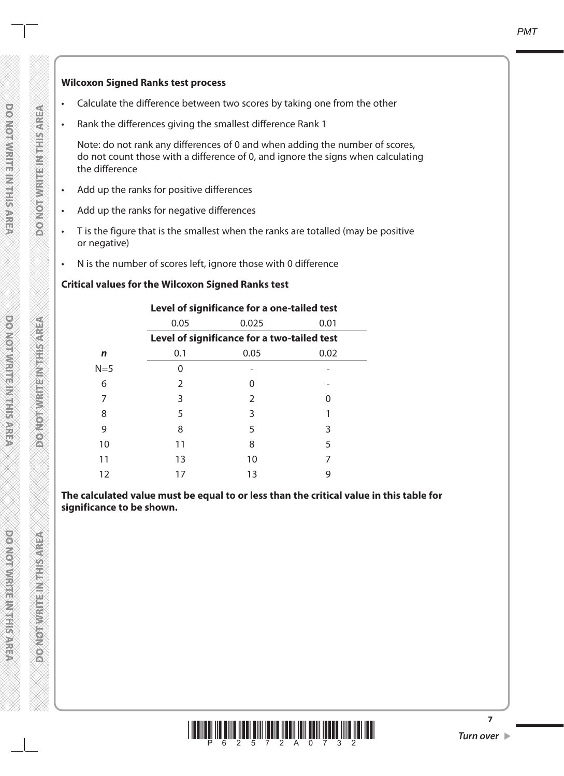## **Wilcoxon Signed Ranks test process**

- Calculate the difference between two scores by taking one from the other
- Rank the differences giving the smallest difference Rank 1

 Note: do not rank any differences of 0 and when adding the number of scores, do not count those with a difference of 0, and ignore the signs when calculating the difference

- Add up the ranks for positive differences
- Add up the ranks for negative differences
- T is the figure that is the smallest when the ranks are totalled (may be positive or negative)
- N is the number of scores left, ignore those with 0 difference

## **Critical values for the Wilcoxon Signed Ranks test**

|       |      | Level of significance for a one-tailed test |      |
|-------|------|---------------------------------------------|------|
|       | 0.05 | 0.025                                       | 0.01 |
|       |      | Level of significance for a two-tailed test |      |
| n     | 0.1  | 0.05                                        | 0.02 |
| $N=5$ | Ω    |                                             |      |
| 6     | 2    |                                             |      |
|       | 3    | 2                                           |      |
| 8     | 5    | 3                                           |      |
| 9     | 8    | 5                                           | 3    |
| 10    | 11   | 8                                           | 5    |
| 11    | 13   | 10                                          | 7    |
| 12    | 17   | 13                                          | 9    |

**The calculated value must be equal to or less than the critical value in this table for significance to be shown.**

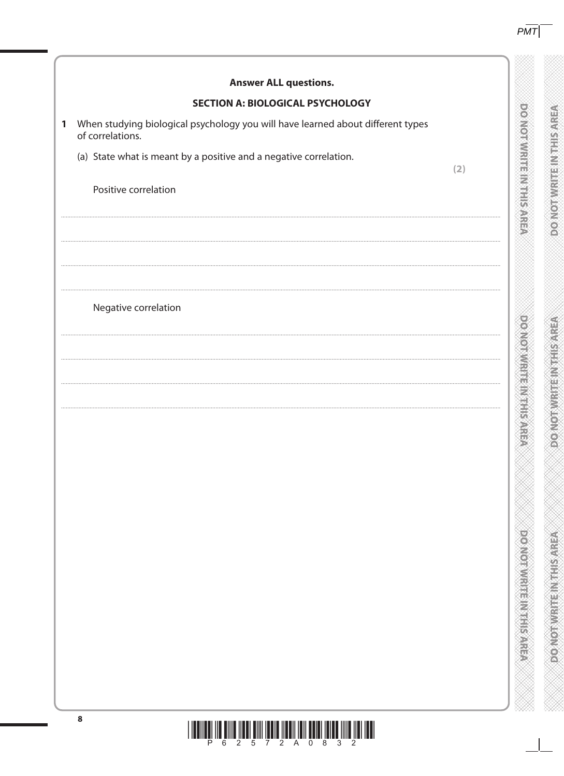| ۹ |
|---|
|   |

NIN SENDER KANAN SENDER KANAN SENDER KANAN.

|              | <b>Answer ALL questions.</b>                                                                        |     |
|--------------|-----------------------------------------------------------------------------------------------------|-----|
|              | <b>SECTION A: BIOLOGICAL PSYCHOLOGY</b>                                                             |     |
| $\mathbf{1}$ | When studying biological psychology you will have learned about different types<br>of correlations. |     |
|              | (a) State what is meant by a positive and a negative correlation.                                   | (2) |
|              | Positive correlation                                                                                |     |
|              |                                                                                                     |     |
|              |                                                                                                     |     |
|              | Negative correlation                                                                                |     |
|              |                                                                                                     |     |
|              |                                                                                                     |     |
|              |                                                                                                     |     |
|              |                                                                                                     |     |
|              |                                                                                                     |     |
|              |                                                                                                     |     |
|              |                                                                                                     |     |
|              |                                                                                                     |     |
|              |                                                                                                     |     |
|              |                                                                                                     |     |
|              |                                                                                                     |     |

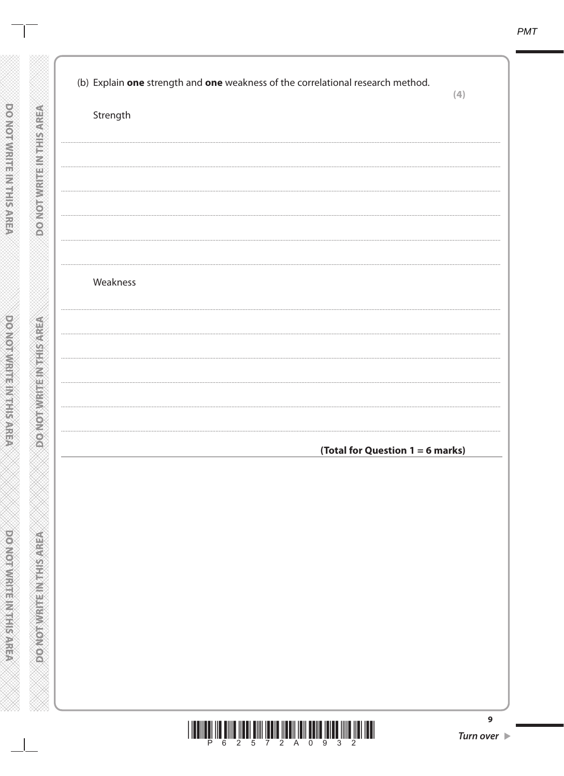|                                  | (b) Explain one strength and one weakness of the correlational research method. | (4) |
|----------------------------------|---------------------------------------------------------------------------------|-----|
|                                  | Strength                                                                        |     |
| <b>DO NOT WRITEIN THIS AREA</b>  |                                                                                 |     |
|                                  |                                                                                 |     |
|                                  |                                                                                 |     |
|                                  | Weakness                                                                        |     |
|                                  |                                                                                 |     |
| <b>DO NOTIVE DESIGNATORS</b>     |                                                                                 |     |
|                                  |                                                                                 |     |
|                                  | (Total for Question $1 = 6$ marks)                                              |     |
|                                  |                                                                                 |     |
|                                  |                                                                                 |     |
|                                  |                                                                                 |     |
| <b>DO NOT WRITE IN THIS AREA</b> |                                                                                 |     |
|                                  |                                                                                 |     |
|                                  |                                                                                 |     |



 $\overline{9}$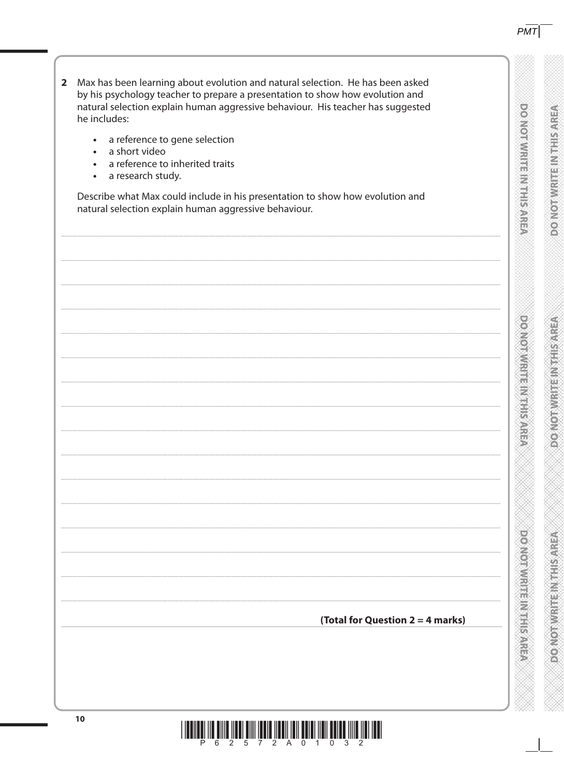2 Max has been learning about evolution and natural selection. He has been asked by his psychology teacher to prepare a presentation to show how evolution and natural selection explain human aggressive behaviour. His teacher has suggested he includes:

- a reference to gene selection  $\bullet$
- a short video  $\bullet$
- a reference to inherited traits  $\bullet$
- a research study.  $\overline{a}$

Describe what Max could include in his presentation to show how evolution and natural selection explain human aggressive behaviour.

(Total for Question 2 = 4 marks)

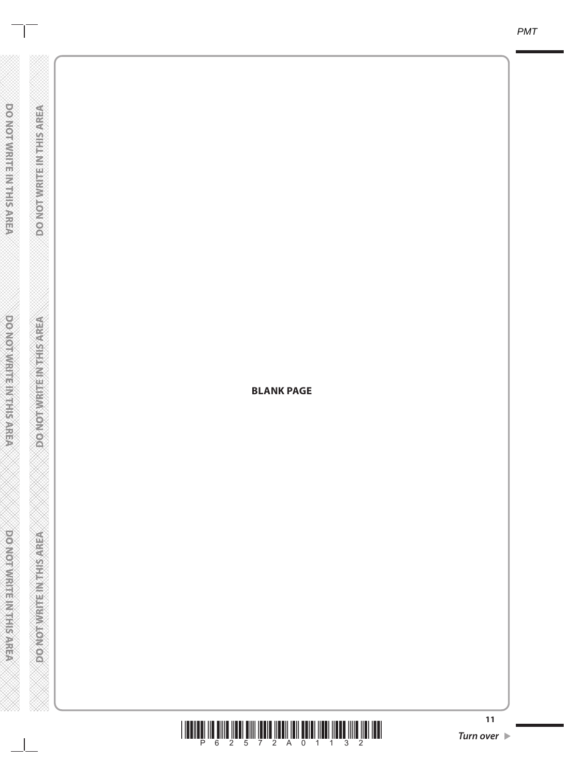

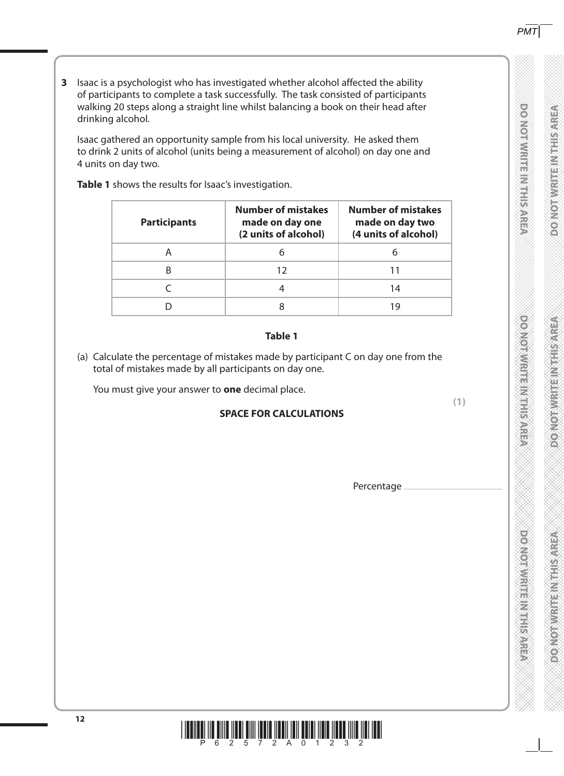**(1)**

Isaac gathered an opportunity sample from his local university. He asked them to drink 2 units of alcohol (units being a measurement of alcohol) on day one and 4 units on day two.

Table 1 shows the results for Isaac's investigation.

| <b>Participants</b> | <b>Number of mistakes</b><br>made on day one<br>(2 units of alcohol) | <b>Number of mistakes</b><br>made on day two<br>(4 units of alcohol) |  |  |  |  |
|---------------------|----------------------------------------------------------------------|----------------------------------------------------------------------|--|--|--|--|
|                     |                                                                      |                                                                      |  |  |  |  |
|                     | 12                                                                   |                                                                      |  |  |  |  |
|                     |                                                                      | 14                                                                   |  |  |  |  |
|                     |                                                                      |                                                                      |  |  |  |  |

### **Table 1**

(a) Calculate the percentage of mistakes made by participant C on day one from the total of mistakes made by all participants on day one.

You must give your answer to **one** decimal place.

## **SPACE FOR CALCULATIONS**

Percentage .......

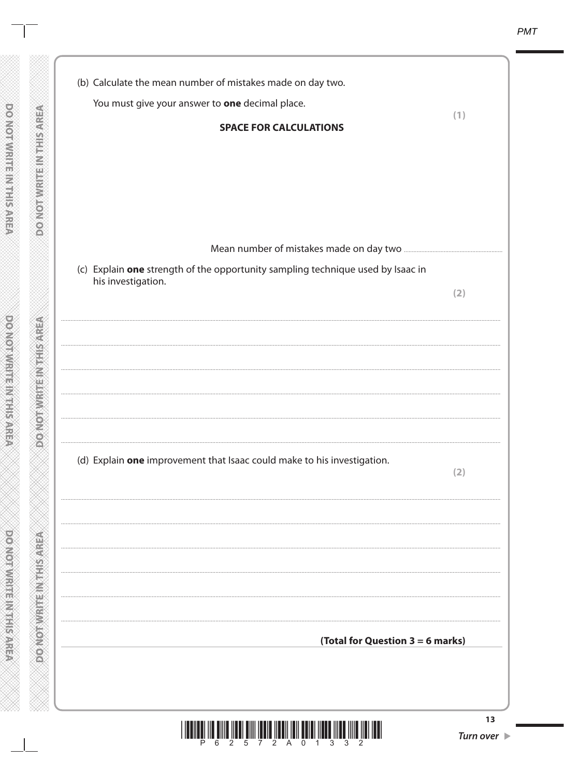| (b) Calculate the mean number of mistakes made on day two.<br>You must give your answer to one decimal place. |                                  |
|---------------------------------------------------------------------------------------------------------------|----------------------------------|
| <b>SPACE FOR CALCULATIONS</b>                                                                                 | (1)                              |
|                                                                                                               |                                  |
|                                                                                                               |                                  |
|                                                                                                               |                                  |
|                                                                                                               |                                  |
|                                                                                                               |                                  |
|                                                                                                               |                                  |
| (c) Explain one strength of the opportunity sampling technique used by Isaac in                               |                                  |
| his investigation.                                                                                            | (2)                              |
|                                                                                                               |                                  |
|                                                                                                               |                                  |
|                                                                                                               |                                  |
|                                                                                                               |                                  |
|                                                                                                               |                                  |
|                                                                                                               |                                  |
|                                                                                                               |                                  |
|                                                                                                               |                                  |
| (d) Explain one improvement that Isaac could make to his investigation.                                       | (2)                              |
|                                                                                                               |                                  |
|                                                                                                               |                                  |
|                                                                                                               |                                  |
|                                                                                                               |                                  |
|                                                                                                               |                                  |
|                                                                                                               |                                  |
|                                                                                                               |                                  |
|                                                                                                               | (Total for Question 3 = 6 marks) |
|                                                                                                               |                                  |
|                                                                                                               |                                  |
|                                                                                                               |                                  |

**DO NOT WRITE INTHIS AREA** 

DO NOT WRITE IN THIS AREA

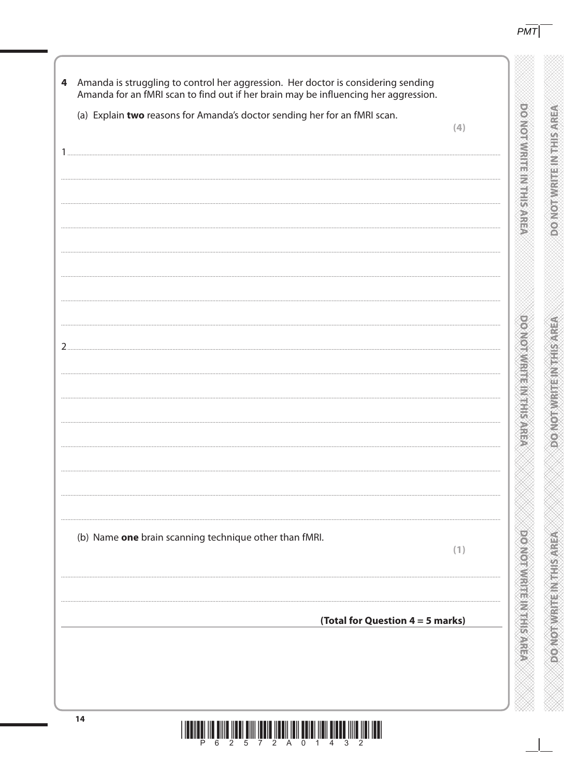| <b>PMT</b> |  |
|------------|--|
|            |  |

**DOONOTHER INTERNATION** RIN SENSERIA SENSERIA SENSERIA SENSERIA SENSERIA SENSERIA SEN

**PO NOT WIRE IN THE AREA (REF)** 

| (a) Explain two reasons for Amanda's doctor sending her for an fMRI scan. | (4)                              |
|---------------------------------------------------------------------------|----------------------------------|
|                                                                           |                                  |
|                                                                           |                                  |
|                                                                           |                                  |
|                                                                           |                                  |
|                                                                           |                                  |
|                                                                           |                                  |
|                                                                           |                                  |
|                                                                           |                                  |
|                                                                           |                                  |
|                                                                           |                                  |
|                                                                           |                                  |
|                                                                           |                                  |
|                                                                           |                                  |
|                                                                           |                                  |
|                                                                           |                                  |
|                                                                           |                                  |
|                                                                           |                                  |
|                                                                           |                                  |
|                                                                           |                                  |
| (b) Name one brain scanning technique other than fMRI.                    | (1)                              |
|                                                                           |                                  |
|                                                                           |                                  |
|                                                                           |                                  |
|                                                                           | (Total for Question 4 = 5 marks) |
|                                                                           |                                  |
|                                                                           |                                  |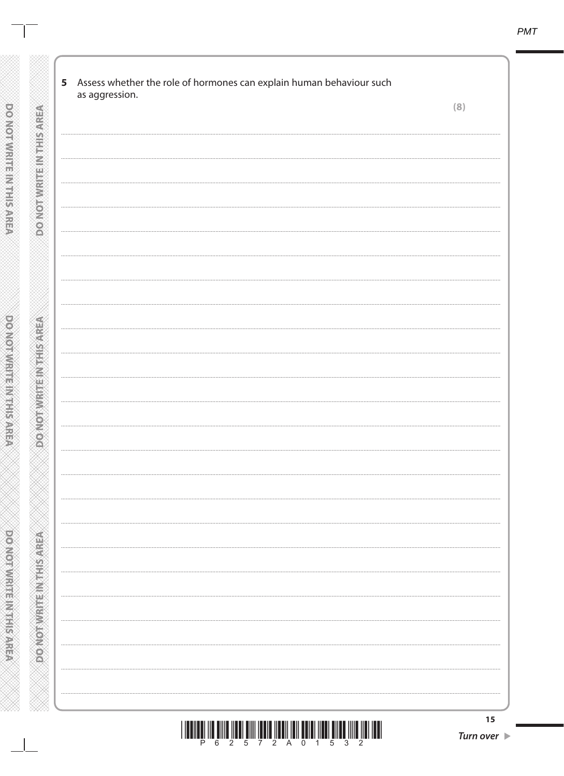| as aggression. |                                                                                                                                                                                                                                                                                                                                                                                                                                                               | (8) |
|----------------|---------------------------------------------------------------------------------------------------------------------------------------------------------------------------------------------------------------------------------------------------------------------------------------------------------------------------------------------------------------------------------------------------------------------------------------------------------------|-----|
|                |                                                                                                                                                                                                                                                                                                                                                                                                                                                               |     |
|                |                                                                                                                                                                                                                                                                                                                                                                                                                                                               |     |
|                |                                                                                                                                                                                                                                                                                                                                                                                                                                                               |     |
|                |                                                                                                                                                                                                                                                                                                                                                                                                                                                               |     |
|                |                                                                                                                                                                                                                                                                                                                                                                                                                                                               |     |
| $\cdots$       |                                                                                                                                                                                                                                                                                                                                                                                                                                                               |     |
|                |                                                                                                                                                                                                                                                                                                                                                                                                                                                               |     |
|                |                                                                                                                                                                                                                                                                                                                                                                                                                                                               |     |
|                |                                                                                                                                                                                                                                                                                                                                                                                                                                                               |     |
|                |                                                                                                                                                                                                                                                                                                                                                                                                                                                               |     |
|                |                                                                                                                                                                                                                                                                                                                                                                                                                                                               |     |
|                |                                                                                                                                                                                                                                                                                                                                                                                                                                                               |     |
|                |                                                                                                                                                                                                                                                                                                                                                                                                                                                               |     |
|                |                                                                                                                                                                                                                                                                                                                                                                                                                                                               |     |
|                |                                                                                                                                                                                                                                                                                                                                                                                                                                                               |     |
|                |                                                                                                                                                                                                                                                                                                                                                                                                                                                               |     |
|                |                                                                                                                                                                                                                                                                                                                                                                                                                                                               |     |
|                |                                                                                                                                                                                                                                                                                                                                                                                                                                                               |     |
|                |                                                                                                                                                                                                                                                                                                                                                                                                                                                               |     |
|                |                                                                                                                                                                                                                                                                                                                                                                                                                                                               |     |
|                |                                                                                                                                                                                                                                                                                                                                                                                                                                                               |     |
|                |                                                                                                                                                                                                                                                                                                                                                                                                                                                               |     |
|                |                                                                                                                                                                                                                                                                                                                                                                                                                                                               |     |
|                |                                                                                                                                                                                                                                                                                                                                                                                                                                                               |     |
|                |                                                                                                                                                                                                                                                                                                                                                                                                                                                               |     |
|                |                                                                                                                                                                                                                                                                                                                                                                                                                                                               |     |
|                |                                                                                                                                                                                                                                                                                                                                                                                                                                                               |     |
|                |                                                                                                                                                                                                                                                                                                                                                                                                                                                               |     |
|                |                                                                                                                                                                                                                                                                                                                                                                                                                                                               |     |
|                |                                                                                                                                                                                                                                                                                                                                                                                                                                                               |     |
|                |                                                                                                                                                                                                                                                                                                                                                                                                                                                               |     |
|                |                                                                                                                                                                                                                                                                                                                                                                                                                                                               |     |
|                |                                                                                                                                                                                                                                                                                                                                                                                                                                                               |     |
|                |                                                                                                                                                                                                                                                                                                                                                                                                                                                               |     |
|                |                                                                                                                                                                                                                                                                                                                                                                                                                                                               |     |
|                |                                                                                                                                                                                                                                                                                                                                                                                                                                                               |     |
|                |                                                                                                                                                                                                                                                                                                                                                                                                                                                               |     |
|                | $\begin{array}{c} \text{if} \ \text{if} \ \text{if} \ \text{if} \ \text{if} \ \text{if} \ \text{if} \ \text{if} \ \text{if} \ \text{if} \ \text{if} \ \text{if} \ \text{if} \ \text{if} \ \text{if} \ \text{if} \ \text{if} \ \text{if} \ \text{if} \ \text{if} \ \text{if} \ \text{if} \ \text{if} \ \text{if} \ \text{if} \ \text{if} \ \text{if} \ \text{if} \ \text{if} \ \text{if} \ \text{if} \ \text{if} \ \text{if} \ \text{if} \ \text{if} \ \text{$ |     |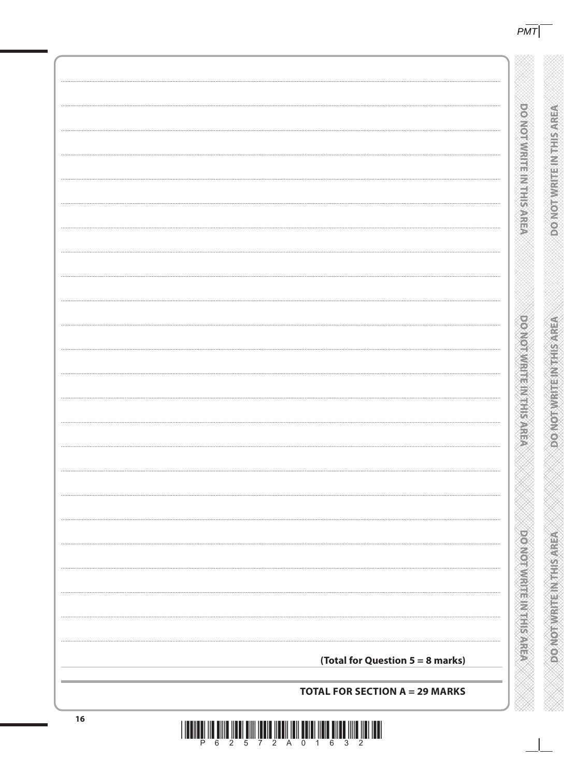|    | (Total for Question 5 = 8 marks)      |  |
|----|---------------------------------------|--|
|    | <b>TOTAL FOR SECTION A = 29 MARKS</b> |  |
| 16 |                                       |  |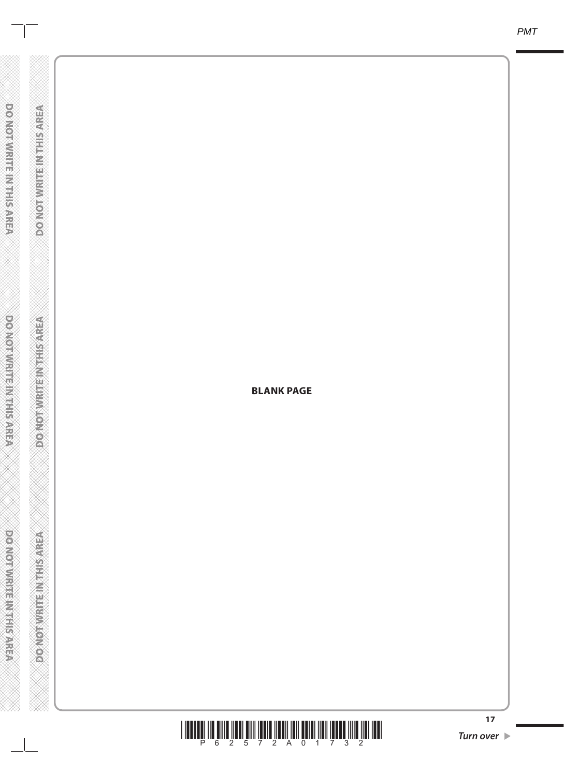

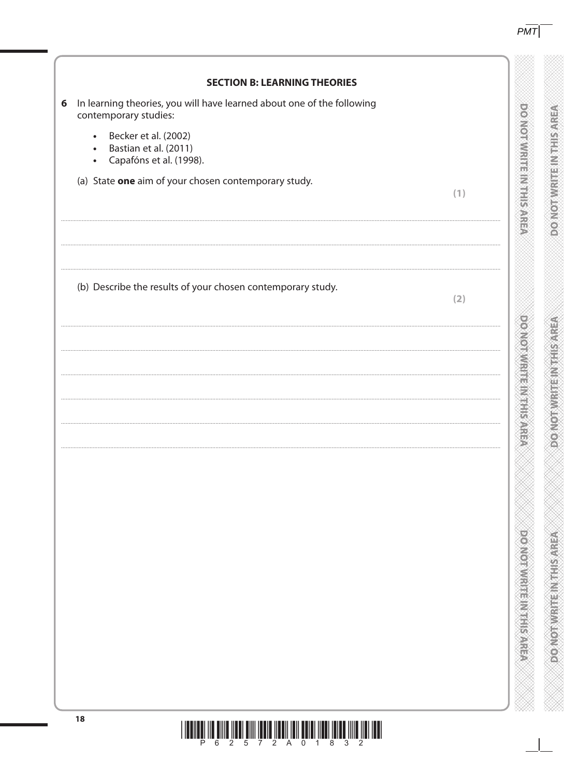|                 | <b>SECTION B: LEARNING THEORIES</b>                                                                             |     |
|-----------------|-----------------------------------------------------------------------------------------------------------------|-----|
| $6\phantom{1}6$ | In learning theories, you will have learned about one of the following<br>contemporary studies:                 |     |
|                 | Becker et al. (2002)<br>$\bullet$<br>Bastian et al. (2011)<br>$\bullet$<br>Capafóns et al. (1998).<br>$\bullet$ |     |
|                 | (a) State one aim of your chosen contemporary study.                                                            | (1) |
|                 |                                                                                                                 |     |
|                 | (b) Describe the results of your chosen contemporary study.                                                     | (2) |
|                 |                                                                                                                 |     |
|                 |                                                                                                                 |     |
|                 |                                                                                                                 |     |
|                 |                                                                                                                 |     |
|                 |                                                                                                                 |     |
|                 |                                                                                                                 |     |
|                 |                                                                                                                 |     |
|                 |                                                                                                                 |     |
|                 |                                                                                                                 |     |
|                 | 18<br><u> I ISOILEEN IIO HIIIO IIOKI KIIII ISOIN IIOKII ISII HEIKI IIOKI ISIKO IIIIO IIOK IIOKI </u>            |     |

DO NOTWRITE IN THIS AREA

DOONOT WRITE IN THIS AREA

KK KARA

**DONOTWRITE INTHIS AREA**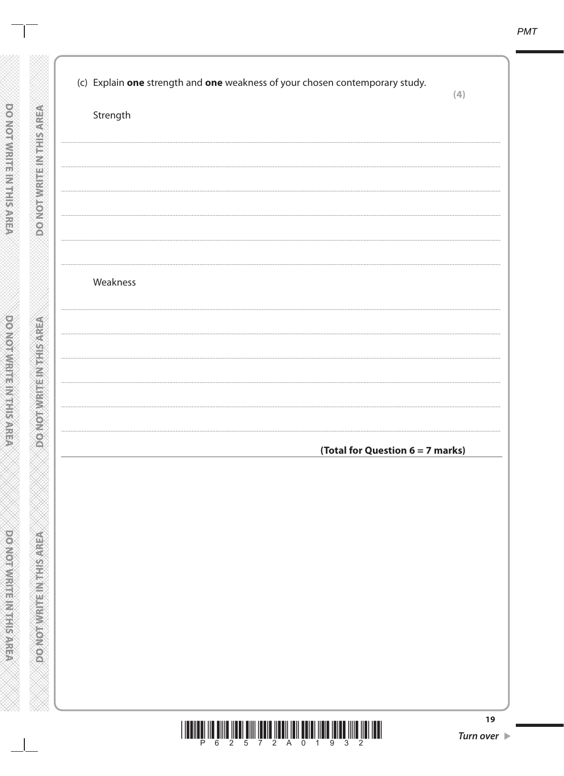|          |                                  | (4) |
|----------|----------------------------------|-----|
| Strength |                                  |     |
|          |                                  |     |
|          |                                  |     |
|          |                                  |     |
| .        |                                  |     |
|          |                                  |     |
|          |                                  |     |
|          |                                  |     |
| Weakness |                                  |     |
|          |                                  |     |
|          |                                  |     |
|          |                                  |     |
|          |                                  |     |
|          |                                  |     |
| .        |                                  |     |
|          |                                  |     |
|          |                                  |     |
|          | (Total for Question 6 = 7 marks) |     |
|          |                                  |     |
|          |                                  |     |
|          |                                  |     |
|          |                                  |     |
|          |                                  |     |
|          |                                  |     |
|          |                                  |     |
|          |                                  |     |
|          |                                  |     |
|          |                                  |     |
|          |                                  |     |
|          |                                  |     |
|          |                                  |     |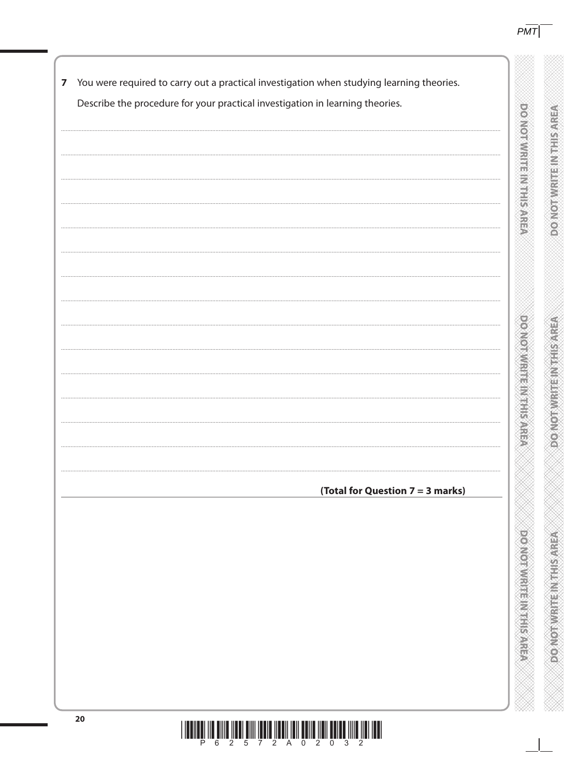**DOMOTIVE IN EXERCISE** 

10000000

DO NOT WELF IN THE AREA (2007)

| $\overline{\mathbf{z}}$ | You were required to carry out a practical investigation when studying learning theories. |
|-------------------------|-------------------------------------------------------------------------------------------|
|                         | Describe the procedure for your practical investigation in learning theories.             |
|                         |                                                                                           |
|                         |                                                                                           |
|                         |                                                                                           |
|                         |                                                                                           |
|                         |                                                                                           |
|                         |                                                                                           |
|                         |                                                                                           |
|                         |                                                                                           |
|                         |                                                                                           |
|                         |                                                                                           |
|                         |                                                                                           |
|                         |                                                                                           |
|                         |                                                                                           |
|                         | (Total for Question 7 = 3 marks)                                                          |
|                         |                                                                                           |
|                         |                                                                                           |
|                         |                                                                                           |
|                         |                                                                                           |
|                         |                                                                                           |
|                         |                                                                                           |
|                         |                                                                                           |
| 20                      |                                                                                           |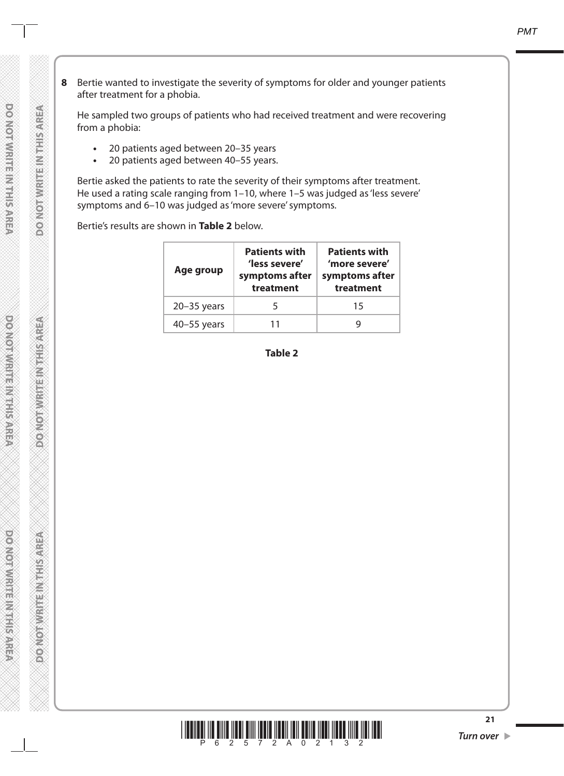**8** Bertie wanted to investigate the severity of symptoms for older and younger patients after treatment for a phobia.

He sampled two groups of patients who had received treatment and were recovering from a phobia:

- **•** 20 patients aged between 20–35 years
- **•** 20 patients aged between 40–55 years.

Bertie asked the patients to rate the severity of their symptoms after treatment. He used a rating scale ranging from 1–10, where 1–5 was judged as 'less severe' symptoms and 6–10 was judged as 'more severe' symptoms.

Bertie's results are shown in **Table 2** below.

| Age group     | <b>Patients with</b><br>'less severe'<br>symptoms after<br>treatment | <b>Patients with</b><br>'more severe'<br>symptoms after<br>treatment |
|---------------|----------------------------------------------------------------------|----------------------------------------------------------------------|
| $20-35$ years |                                                                      | 15                                                                   |
| $40-55$ years | 11                                                                   |                                                                      |

**Table 2**

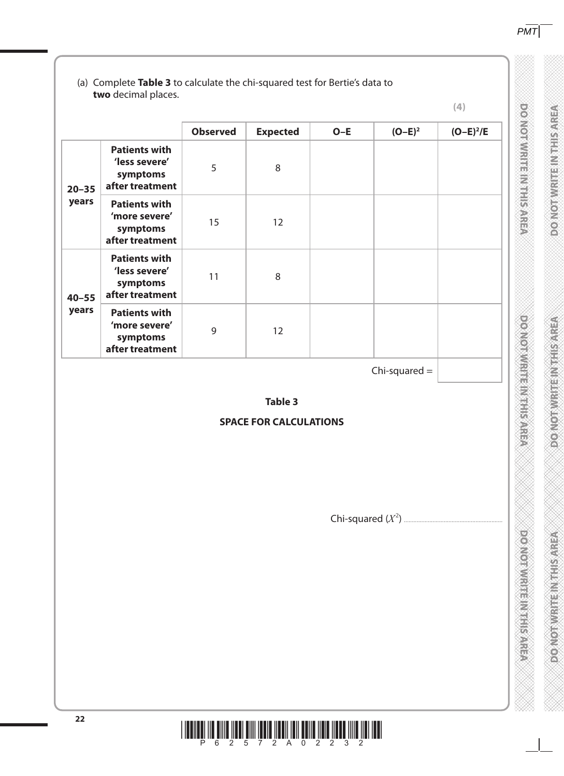DONOTWRITE IN THIS AREA

DO NOT WRITE IN TELESPIES

**DO NOTWERN EXPERIENCE** 

**(4)**

## (a) Complete **Table 3** to calculate the chi-squared test for Bertie's data to **two** decimal places.

|           |                                                                      | <b>Observed</b> | <b>Expected</b> | $O-E$ | $(O-E)^2$ | $(O-E)^2/E$ |
|-----------|----------------------------------------------------------------------|-----------------|-----------------|-------|-----------|-------------|
| $20 - 35$ | <b>Patients with</b><br>'less severe'<br>symptoms<br>after treatment | 5               | 8               |       |           |             |
| years     | <b>Patients with</b><br>'more severe'<br>symptoms<br>after treatment | 15              | 12              |       |           |             |
| $40 - 55$ | <b>Patients with</b><br>'less severe'<br>symptoms<br>after treatment | 11              | 8               |       |           |             |
| years     | <b>Patients with</b><br>'more severe'<br>symptoms<br>after treatment | 9               | 12              |       |           |             |

Chi-squared =

**Table 3**

# **SPACE FOR CALCULATIONS**

Chi-squared (*Χ*<sup>2</sup> ) ..............................................................

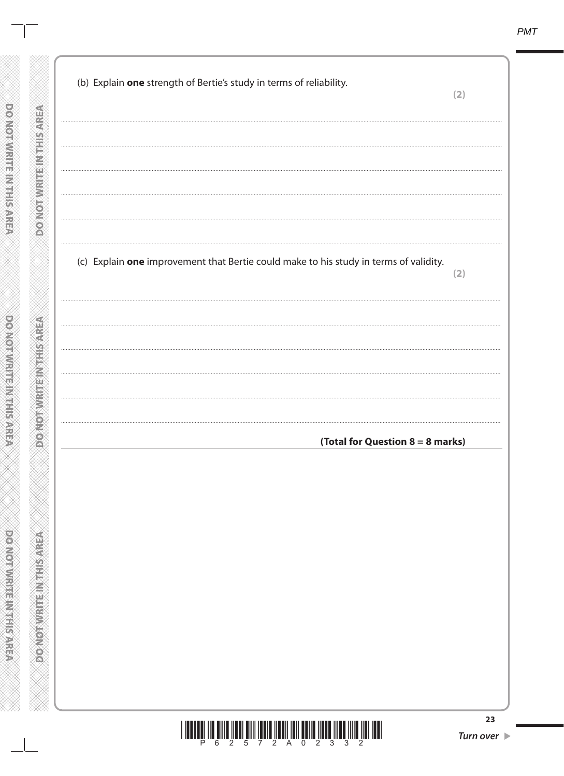| (b) Explain one strength of Bertie's study in terms of reliability.                   | (2) |
|---------------------------------------------------------------------------------------|-----|
|                                                                                       |     |
|                                                                                       |     |
|                                                                                       |     |
|                                                                                       |     |
|                                                                                       |     |
|                                                                                       |     |
| (c) Explain one improvement that Bertie could make to his study in terms of validity. | (2) |
|                                                                                       |     |
|                                                                                       |     |
|                                                                                       |     |
|                                                                                       |     |
|                                                                                       |     |
|                                                                                       |     |
| (Total for Question $8 = 8$ marks)                                                    |     |
|                                                                                       |     |
|                                                                                       |     |
|                                                                                       |     |
|                                                                                       |     |
|                                                                                       |     |
|                                                                                       |     |
|                                                                                       |     |
|                                                                                       |     |
|                                                                                       |     |
|                                                                                       |     |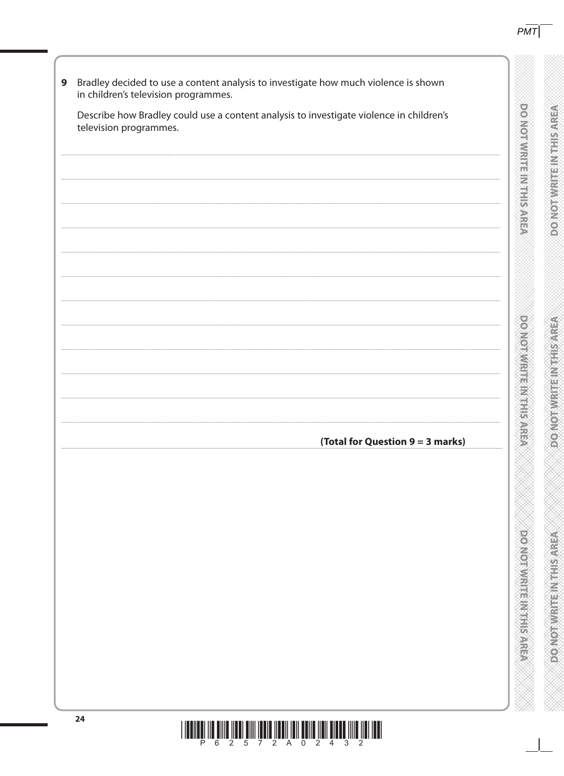| television programmes. | Describe how Bradley could use a content analysis to investigate violence in children's |
|------------------------|-----------------------------------------------------------------------------------------|
|                        |                                                                                         |
|                        |                                                                                         |
|                        |                                                                                         |
|                        |                                                                                         |
|                        |                                                                                         |
|                        |                                                                                         |
|                        |                                                                                         |
|                        |                                                                                         |
|                        |                                                                                         |
|                        |                                                                                         |
|                        |                                                                                         |
|                        |                                                                                         |
|                        |                                                                                         |
|                        |                                                                                         |
|                        | (Total for Question 9 = 3 marks)                                                        |
|                        |                                                                                         |
|                        |                                                                                         |
|                        |                                                                                         |
|                        |                                                                                         |
|                        |                                                                                         |
|                        |                                                                                         |
|                        |                                                                                         |
|                        |                                                                                         |
|                        |                                                                                         |
|                        |                                                                                         |
|                        |                                                                                         |

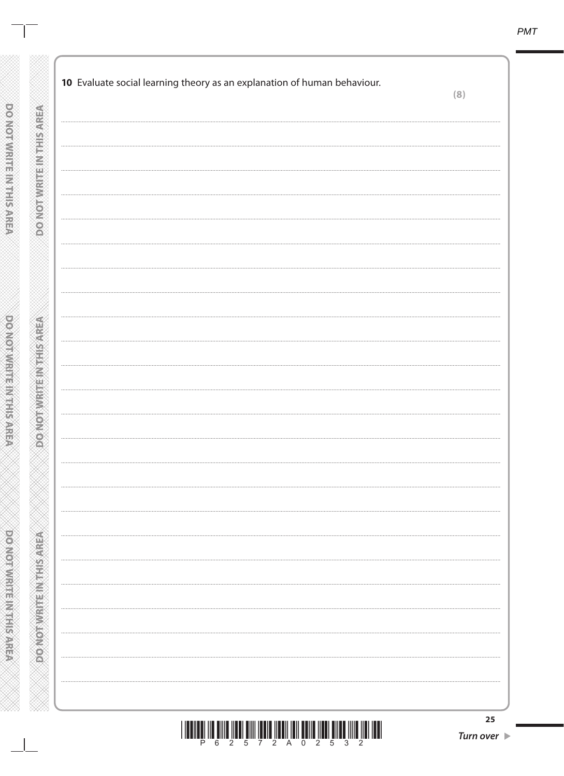| 10 Evaluate social learning theory as an explanation of human behaviour.                                                                                                                                                                                                                                                                                                                                                                                      | (8)                             |
|---------------------------------------------------------------------------------------------------------------------------------------------------------------------------------------------------------------------------------------------------------------------------------------------------------------------------------------------------------------------------------------------------------------------------------------------------------------|---------------------------------|
|                                                                                                                                                                                                                                                                                                                                                                                                                                                               |                                 |
|                                                                                                                                                                                                                                                                                                                                                                                                                                                               |                                 |
|                                                                                                                                                                                                                                                                                                                                                                                                                                                               |                                 |
|                                                                                                                                                                                                                                                                                                                                                                                                                                                               |                                 |
|                                                                                                                                                                                                                                                                                                                                                                                                                                                               |                                 |
|                                                                                                                                                                                                                                                                                                                                                                                                                                                               |                                 |
|                                                                                                                                                                                                                                                                                                                                                                                                                                                               |                                 |
|                                                                                                                                                                                                                                                                                                                                                                                                                                                               |                                 |
|                                                                                                                                                                                                                                                                                                                                                                                                                                                               |                                 |
|                                                                                                                                                                                                                                                                                                                                                                                                                                                               |                                 |
|                                                                                                                                                                                                                                                                                                                                                                                                                                                               |                                 |
|                                                                                                                                                                                                                                                                                                                                                                                                                                                               |                                 |
|                                                                                                                                                                                                                                                                                                                                                                                                                                                               |                                 |
|                                                                                                                                                                                                                                                                                                                                                                                                                                                               |                                 |
|                                                                                                                                                                                                                                                                                                                                                                                                                                                               |                                 |
|                                                                                                                                                                                                                                                                                                                                                                                                                                                               |                                 |
|                                                                                                                                                                                                                                                                                                                                                                                                                                                               |                                 |
|                                                                                                                                                                                                                                                                                                                                                                                                                                                               |                                 |
|                                                                                                                                                                                                                                                                                                                                                                                                                                                               |                                 |
|                                                                                                                                                                                                                                                                                                                                                                                                                                                               |                                 |
|                                                                                                                                                                                                                                                                                                                                                                                                                                                               |                                 |
|                                                                                                                                                                                                                                                                                                                                                                                                                                                               |                                 |
|                                                                                                                                                                                                                                                                                                                                                                                                                                                               |                                 |
|                                                                                                                                                                                                                                                                                                                                                                                                                                                               |                                 |
|                                                                                                                                                                                                                                                                                                                                                                                                                                                               |                                 |
|                                                                                                                                                                                                                                                                                                                                                                                                                                                               |                                 |
|                                                                                                                                                                                                                                                                                                                                                                                                                                                               |                                 |
|                                                                                                                                                                                                                                                                                                                                                                                                                                                               |                                 |
|                                                                                                                                                                                                                                                                                                                                                                                                                                                               |                                 |
|                                                                                                                                                                                                                                                                                                                                                                                                                                                               |                                 |
|                                                                                                                                                                                                                                                                                                                                                                                                                                                               |                                 |
|                                                                                                                                                                                                                                                                                                                                                                                                                                                               |                                 |
|                                                                                                                                                                                                                                                                                                                                                                                                                                                               |                                 |
|                                                                                                                                                                                                                                                                                                                                                                                                                                                               |                                 |
|                                                                                                                                                                                                                                                                                                                                                                                                                                                               | 25                              |
| $\begin{array}{c} \text{if} \ \text{if} \ \text{if} \ \text{if} \ \text{if} \ \text{if} \ \text{if} \ \text{if} \ \text{if} \ \text{if} \ \text{if} \ \text{if} \ \text{if} \ \text{if} \ \text{if} \ \text{if} \ \text{if} \ \text{if} \ \text{if} \ \text{if} \ \text{if} \ \text{if} \ \text{if} \ \text{if} \ \text{if} \ \text{if} \ \text{if} \ \text{if} \ \text{if} \ \text{if} \ \text{if} \ \text{if} \ \text{if} \ \text{if} \ \text{if} \ \text{$ | Turn over $\blacktriangleright$ |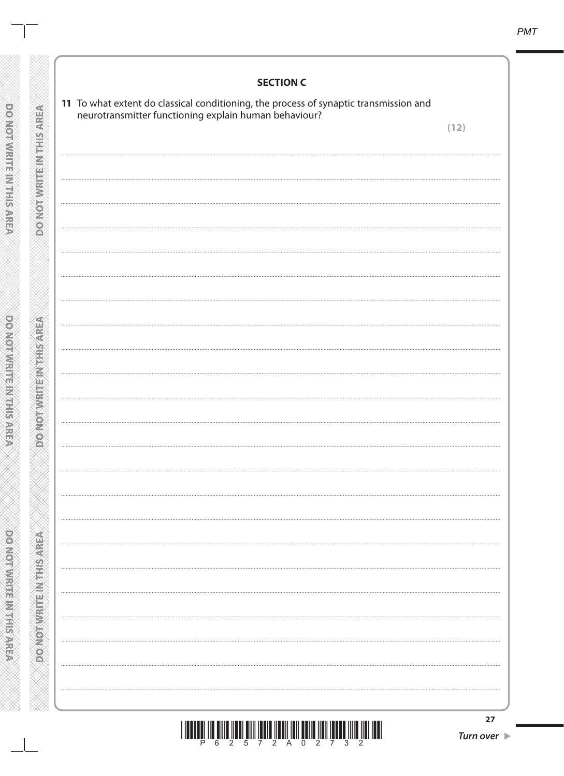| neurotransmitter functioning explain human behaviour?<br> | (12) |
|-----------------------------------------------------------|------|
|                                                           |      |
|                                                           |      |
|                                                           |      |
|                                                           |      |
|                                                           |      |
|                                                           |      |
|                                                           |      |
|                                                           |      |
|                                                           |      |
|                                                           |      |
|                                                           |      |
|                                                           |      |
|                                                           |      |
|                                                           |      |
|                                                           |      |
|                                                           |      |
|                                                           |      |
|                                                           |      |
|                                                           |      |
|                                                           |      |
|                                                           |      |
|                                                           |      |
|                                                           |      |
|                                                           |      |
|                                                           |      |
|                                                           |      |
|                                                           |      |
|                                                           |      |
|                                                           |      |
|                                                           |      |
|                                                           |      |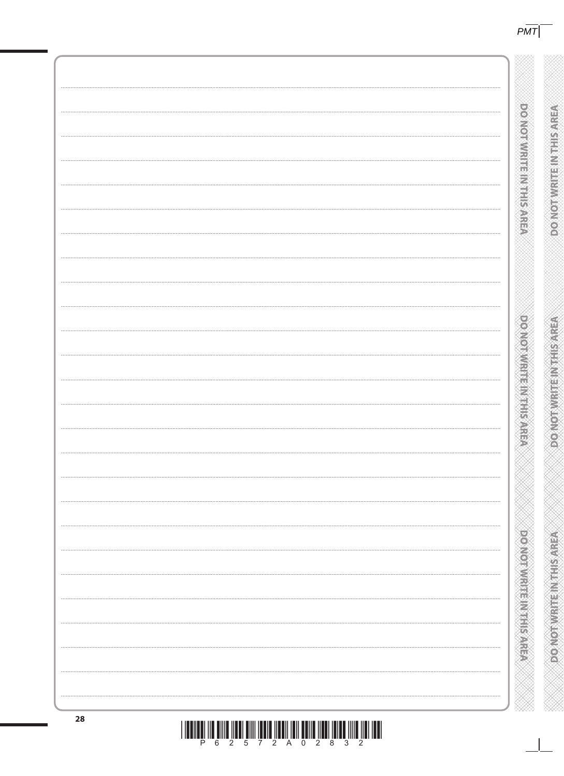|  |  |  | <b>DOMOIRMENT FRAME</b>         |
|--|--|--|---------------------------------|
|  |  |  |                                 |
|  |  |  |                                 |
|  |  |  | .                               |
|  |  |  | <b>DANGING IN STREET AND IN</b> |
|  |  |  |                                 |
|  |  |  |                                 |
|  |  |  |                                 |
|  |  |  | <b>PONOTOVERED NAMES ARE</b>    |
|  |  |  |                                 |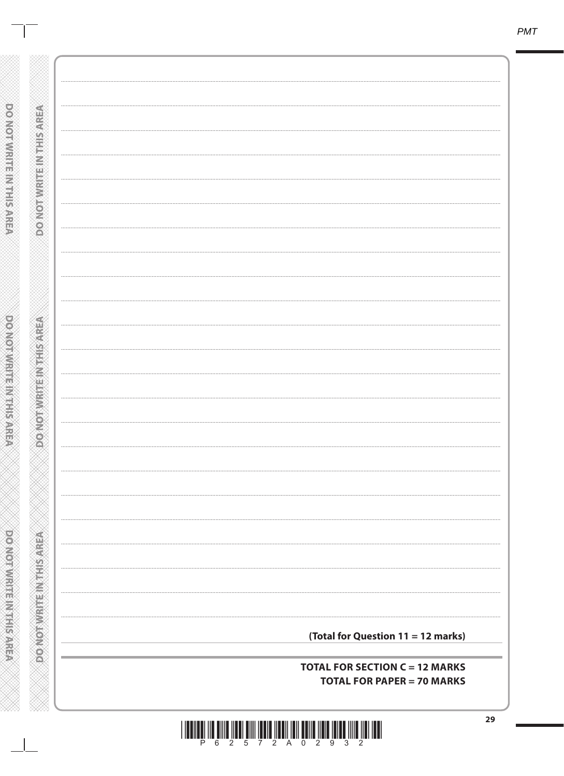| <b>CERTIFICATION CONSULTANCI</b> O |                                       |
|------------------------------------|---------------------------------------|
|                                    |                                       |
|                                    |                                       |
|                                    |                                       |
|                                    |                                       |
|                                    |                                       |
|                                    |                                       |
|                                    |                                       |
|                                    |                                       |
|                                    |                                       |
|                                    |                                       |
|                                    |                                       |
|                                    |                                       |
|                                    |                                       |
|                                    |                                       |
|                                    |                                       |
|                                    |                                       |
|                                    |                                       |
|                                    |                                       |
|                                    |                                       |
|                                    |                                       |
|                                    |                                       |
|                                    |                                       |
|                                    |                                       |
|                                    |                                       |
|                                    |                                       |
|                                    |                                       |
|                                    |                                       |
|                                    |                                       |
|                                    |                                       |
|                                    |                                       |
|                                    |                                       |
|                                    |                                       |
|                                    |                                       |
|                                    |                                       |
|                                    |                                       |
|                                    |                                       |
|                                    |                                       |
|                                    |                                       |
|                                    |                                       |
|                                    |                                       |
|                                    |                                       |
|                                    |                                       |
|                                    |                                       |
|                                    |                                       |
|                                    |                                       |
|                                    |                                       |
|                                    |                                       |
|                                    |                                       |
|                                    |                                       |
|                                    |                                       |
|                                    |                                       |
|                                    |                                       |
|                                    |                                       |
|                                    |                                       |
|                                    |                                       |
|                                    |                                       |
|                                    |                                       |
|                                    |                                       |
|                                    |                                       |
|                                    |                                       |
|                                    |                                       |
|                                    |                                       |
|                                    |                                       |
|                                    |                                       |
|                                    |                                       |
|                                    |                                       |
|                                    |                                       |
|                                    | (Total for Question 11 = 12 marks)    |
|                                    |                                       |
| <b>REBREIT MARKETONOGO</b>         |                                       |
|                                    |                                       |
|                                    | <b>TOTAL FOR SECTION C = 12 MARKS</b> |
|                                    | <b>TOTAL FOR PAPER = 70 MARKS</b>     |
|                                    |                                       |
|                                    |                                       |
|                                    |                                       |
|                                    |                                       |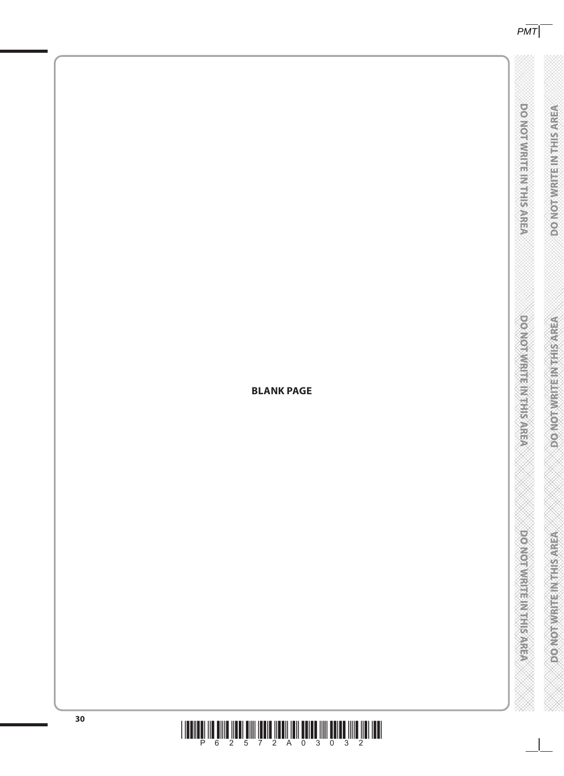XXXXXX



**BLANK PAGE**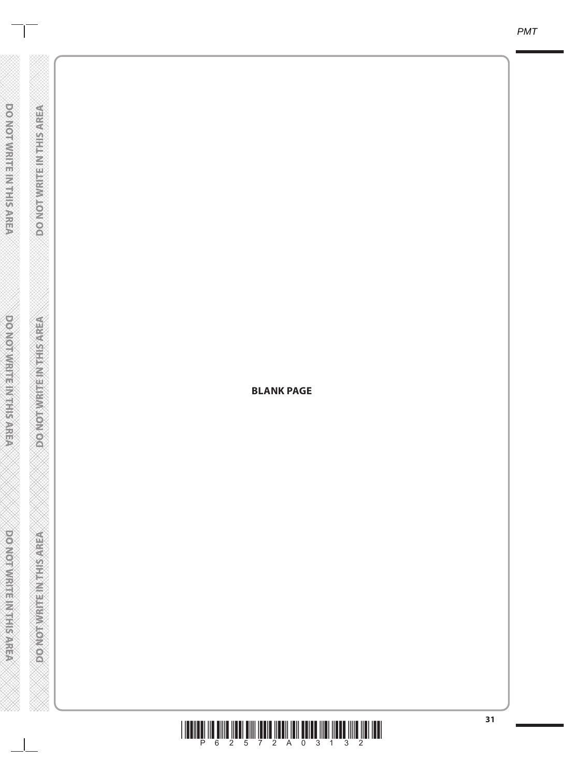**BLANK PAGE**